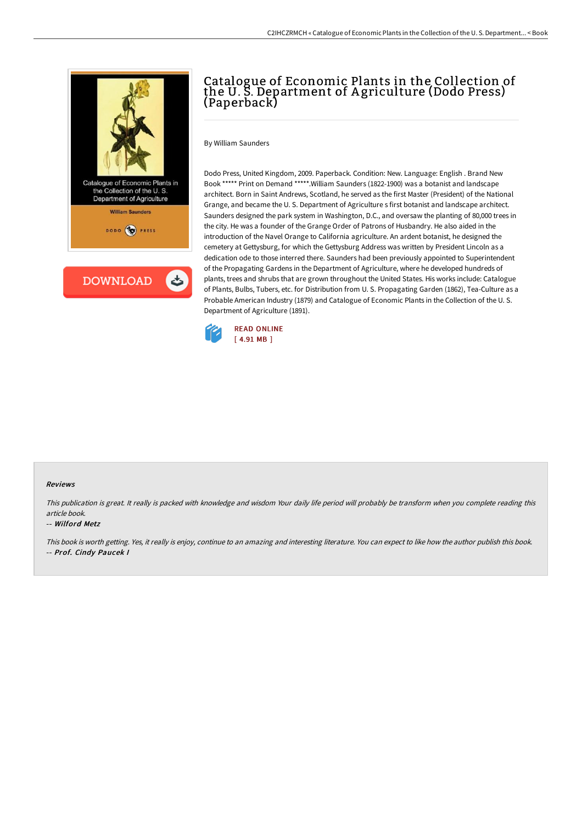

# Catalogue of Economic Plants in the Collection of the U. S. Department of A griculture (Dodo Press) (Paperback)

By William Saunders

Dodo Press, United Kingdom, 2009. Paperback. Condition: New. Language: English . Brand New Book \*\*\*\*\* Print on Demand \*\*\*\*\*.William Saunders (1822-1900) was a botanist and landscape architect. Born in Saint Andrews, Scotland, he served as the first Master (President) of the National Grange, and became the U. S. Department of Agriculture s first botanist and landscape architect. Saunders designed the park system in Washington, D.C., and oversaw the planting of 80,000 trees in the city. He was a founder of the Grange Order of Patrons of Husbandry. He also aided in the introduction of the Navel Orange to California agriculture. An ardent botanist, he designed the cemetery at Gettysburg, for which the Gettysburg Address was written by President Lincoln as a dedication ode to those interred there. Saunders had been previously appointed to Superintendent of the Propagating Gardens in the Department of Agriculture, where he developed hundreds of plants, trees and shrubs that are grown throughout the United States. His works include: Catalogue of Plants, Bulbs, Tubers, etc. for Distribution from U. S. Propagating Garden (1862), Tea-Culture as a Probable American Industry (1879) and Catalogue of Economic Plants in the Collection of the U. S. Department of Agriculture (1891).



#### Reviews

This publication is great. It really is packed with knowledge and wisdom Your daily life period will probably be transform when you complete reading this article book.

#### -- Wilford Metz

This book is worth getting. Yes, it really is enjoy, continue to an amazing and interesting literature. You can expect to like how the author publish this book. -- Prof. Cindy Paucek I